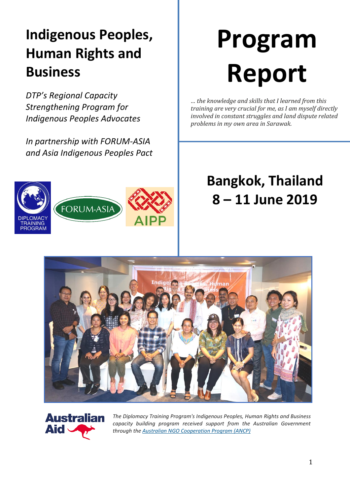# **Indigenous Peoples, Human Rights and Business**

*DTP's Regional Capacity Strengthening Program for Indigenous Peoples Advocates*

*In partnership with FORUM-ASIA and Asia Indigenous Peoples Pact*

# FORUM-ASI/ AINING **PROGRAM**

# **Program Report**

*… the knowledge and skills that I learned from this training are very crucial for me, as I am myself directly involved in constant struggles and land dispute related problems in my own area in Sarawak.*

# **Bangkok, Thailand 8 – 11 June 2019**





*The Diplomacy Training Program's Indigenous Peoples, Human Rights and Business capacity building program received support from the Australian Government through the Australian NGO [Cooperation](https://dfat.gov.au/aid/who-we-work-with/ngos/ancp/Pages/australian-ngo-cooperation-program.aspx) Program (ANCP)*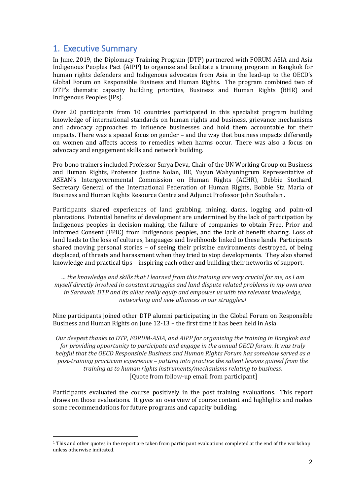#### 1. Executive Summary

In June, 2019, the Diplomacy Training Program (DTP) partnered with FORUM-ASIA and Asia Indigenous Peoples Pact (AIPP) to organise and facilitate a training program in Bangkok for human rights defenders and Indigenous advocates from Asia in the lead-up to the OECD's Global Forum on Responsible Business and Human Rights. The program combined two of DTP's thematic capacity building priorities, Business and Human Rights (BHR) and Indigenous Peoples (IPs).

Over 20 participants from 10 countries participated in this specialist program building knowledge of international standards on human rights and business, grievance mechanisms and advocacy approaches to influence businesses and hold them accountable for their impacts. There was a special focus on gender – and the way that business impacts differently on women and affects access to remedies when harms occur. There was also a focus on advocacy and engagement skills and network building.

Pro-bono trainers included Professor Surya Deva, Chair of the UN Working Group on Business and Human Rights, Professor Justine Nolan, HE, Yuyun Wahyuningrum Representative of ASEAN's Intergovernmental Commission on Human Rights (ACHR), Debbie Stothard, Secretary General of the International Federation of Human Rights, Bobbie Sta Maria of Business and Human Rights Resource Centre and Adjunct Professor John Southalan .

Participants shared experiences of land grabbing, mining, dams, logging and palm-oil plantations. Potential benefits of development are undermined by the lack of participation by Indigenous peoples in decision making, the failure of companies to obtain Free, Prior and Informed Consent (FPIC) from Indigenous peoples, and the lack of benefit sharing. Loss of land leads to the loss of cultures, languages and livelihoods linked to these lands. Participants shared moving personal stories – of seeing their pristine environments destroyed, of being displaced, of threats and harassment when they tried to stop developments. They also shared knowledge and practical tips – inspiring each other and building their networks of support.

*… the knowledge and skills that I learned from this training are very crucial for me, as I am myself directly involved in constant struggles and land dispute related problems in my own area in Sarawak. DTP and its allies really equip and empower us with the relevant knowledge, networking and new alliances in our struggles.<sup>1</sup>*

Nine participants joined other DTP alumni participating in the Global Forum on Responsible Business and Human Rights on June 12-13 – the first time it has been held in Asia.

*Our deepest thanks to DTP, FORUM-ASIA, and AIPP for organizing the training in Bangkok and for providing opportunity to participate and engage in the annual OECD forum. It was truly helpful that the OECD Responsible Business and Human Rights Forum has somehow served as a post-training practicum experience – putting into practice the salient lessons gained from the training as to human rights instruments/mechanisms relating to business.*  [Quote from follow-up email from participant]

Participants evaluated the course positively in the post training evaluations. This report draws on those evaluations. It gives an overview of course content and highlights and makes some recommendations for future programs and capacity building.

<sup>&</sup>lt;sup>1</sup> This and other quotes in the report are taken from participant evaluations completed at the end of the workshop unless otherwise indicated.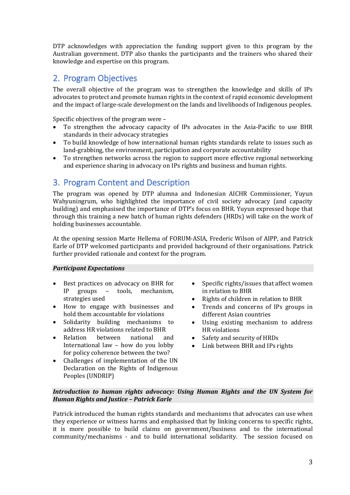DTP acknowledges with appreciation the funding support given to this program by the Australian government. DTP also thanks the participants and the trainers who shared their knowledge and expertise on this program.

### 2. Program Objectives

The overall objective of the program was to strengthen the knowledge and skills of IPs advocates to protect and promote human rights in the context of rapid economic development and the impact of large-scale development on the lands and livelihoods of Indigenous peoples.

Specific objectives of the program were –

- To strengthen the advocacy capacity of IPs advocates in the Asia-Pacific to use BHR standards in their advocacy strategies
- To build knowledge of how international human rights standards relate to issues such as land-grabbing, the environment, participation and corporate accountability
- To strengthen networks across the region to support more effective regional networking and experience sharing in advocacy on IPs rights and business and human rights.

#### 3. Program Content and Description

The program was opened by DTP alumna and Indonesian AICHR Commissioner, Yuyun Wahyuningrum, who highlighted the importance of civil society advocacy (and capacity building) and emphasised the importance of DTP's focus on BHR. Yuyun expressed hope that through this training a new batch of human rights defenders (HRDs) will take on the work of holding businesses accountable.

At the opening session Marte Hellema of FORUM-ASIA, Frederic Wilson of AIPP, and Patrick Earle of DTP welcomed participants and provided background of their organisations. Patrick further provided rationale and context for the program.

#### *Participant Expectations*

- Best practices on advocacy on BHR for IP groups – tools, mechanism, strategies used
- How to engage with businesses and hold them accountable for violations
- Solidarity building mechanisms to address HR violations related to BHR
- Relation between national and International law – how do you lobby for policy coherence between the two?
- Challenges of implementation of the UN Declaration on the Rights of Indigenous Peoples (UNDRIP)
- Specific rights/issues that affect women in relation to BHR
- Rights of children in relation to BHR
- Trends and concerns of IPs groups in different Asian countries
- Using existing mechanism to address HR violations
- Safety and security of HRDs
- Link between BHR and IPs rights

#### *Introduction to human rights advocacy: Using Human Rights and the UN System for Human Rights and Justice – Patrick Earle*

Patrick introduced the human rights standards and mechanisms that advocates can use when they experience or witness harms and emphasised that by linking concerns to specific rights, it is more possible to build claims on government/business and to the international community/mechanisms - and to build international solidarity. The session focused on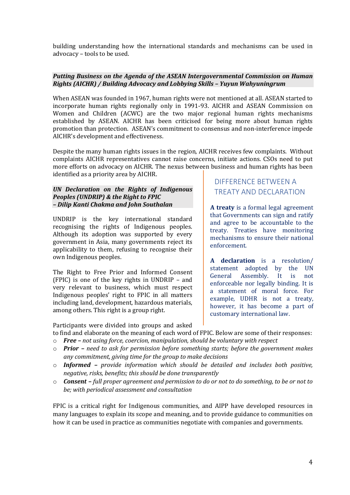building understanding how the international standards and mechanisms can be used in advocacy – tools to be used.

#### *Putting Business on the Agenda of the ASEAN Intergovernmental Commission on Human Rights (AICHR) / Building Advocacy and Lobbying Skills – Yuyun Wahyuningrum*

When ASEAN was founded in 1967, human rights were not mentioned at all. ASEAN started to incorporate human rights regionally only in 1991-93. AICHR and ASEAN Commission on Women and Children (ACWC) are the two major regional human rights mechanisms established by ASEAN. AICHR has been criticised for being more about human rights promotion than protection. ASEAN's commitment to consensus and non-interference impede AICHR's development and effectiveness.

Despite the many human rights issues in the region, AICHR receives few complaints. Without complaints AICHR representatives cannot raise concerns, initiate actions. CSOs need to put more efforts on advocacy on AICHR. The nexus between business and human rights has been identified as a priority area by AICHR.

#### *UN Declaration on the Rights of Indigenous Peoples (UNDRIP) & the Right to FPIC – Dilip Kanti Chakma and John Southalan*

UNDRIP is the key international standard recognising the rights of Indigenous peoples. Although its adoption was supported by every government in Asia, many governments reject its applicability to them, refusing to recognise their own Indigenous peoples.

The Right to Free Prior and Informed Consent (FPIC) is one of the key rights in UNDRIP – and very relevant to business, which must respect Indigenous peoples' right to FPIC in all matters including land, development, hazardous materials, among others. This right is a group right.

Participants were divided into groups and asked

#### DIFFERENCE BETWEEN A TREATY AND DECLARATION

**A treaty** is a formal legal agreement that Governments can sign and ratify and agree to be accountable to the treaty. Treaties have monitoring mechanisms to ensure their national enforcement.

**A declaration** is a resolution/ statement adopted by the UN General Assembly. It is not enforceable nor legally binding. It is a statement of moral force. For example, UDHR is not a treaty, however, it has become a part of customary international law.

to find and elaborate on the meaning of each word of FPIC. Below are some of their responses: o *Free – not using force, coercion, manipulation, should be voluntary with respect* 

- o *Prior – need to ask for permission before something starts; before the government makes any commitment, giving time for the group to make decisions*
- o *Informed – provide information which should be detailed and includes both positive, negative, risks, benefits; this should be done transparently*
- o *Consent – full proper agreement and permission to do or not to do something, to be or not to be; with periodical assessment and consultation*

FPIC is a critical right for Indigenous communities, and AIPP have developed resources in many languages to explain its scope and meaning, and to provide guidance to communities on how it can be used in practice as communities negotiate with companies and governments.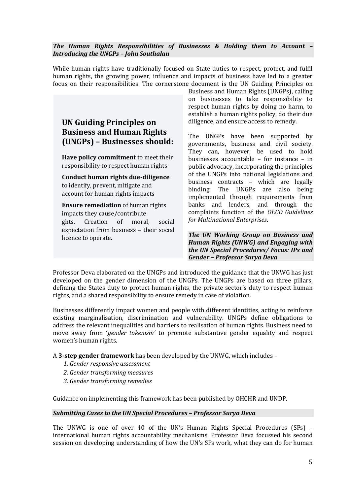#### *The Human Rights Responsibilities of Businesses & Holding them to Account – Introducing the UNGPs – John Southalan*

While human rights have traditionally focused on State duties to respect, protect, and fulfil human rights, the growing power, influence and impacts of business have led to a greater focus on their responsibilities. The cornerstone document is the UN Guiding Principles on

#### **UN Guiding Principles on Business and Human Rights (UNGPs) – Businesses should:**

**Have policy commitment** to meet their responsibility to respect human rights

**Conduct human rights due-diligence**  to identify, prevent, mitigate and account for human rights impacts

**Ensure remediation** of human rights impacts they cause/contribute ghts. Creation of moral, social expectation from business – their social licence to operate.

Business and Human Rights (UNGPs), calling on businesses to take responsibility to respect human rights by doing no harm, to establish a human rights policy, do their due diligence, and ensure access to remedy.

The UNGPs have been supported by governments, business and civil society. They can, however, be used to hold businesses accountable – for instance – in public advocacy, incorporating the principles of the UNGPs into national legislations and business contracts – which are legally binding. The UNGPs are also being implemented through requirements from banks and lenders, and through the complaints function of the *OECD Guidelines for Multinational Enterprises*.

*The UN Working Group on Business and Human Rights (UNWG) and Engaging with the UN Special Procedures/ Focus: IPs and Gender – Professor Surya Deva*

Professor Deva elaborated on the UNGPs and introduced the guidance that the UNWG has just developed on the gender dimension of the UNGPs. The UNGPs are based on three pillars, defining the States duty to protect human rights, the private sector's duty to respect human rights, and a shared responsibility to ensure remedy in case of violation.

Businesses differently impact women and people with different identities, acting to reinforce existing marginalisation, discrimination and vulnerability. UNGPs define obligations to address the relevant inequalities and barriers to realisation of human rights. Business need to move away from '*gender tokenism'* to promote substantive gender equality and respect women's human rights.

A **3-step gender framework** has been developed by the UNWG, which includes –

- *1. Gender responsive assessment*
- *2. Gender transforming measures*
- *3. Gender transforming remedies*

Guidance on implementing this framework has been published by OHCHR and UNDP.

#### *Submitting Cases to the UN Special Procedures – Professor Surya Deva*

The UNWG is one of over 40 of the UN's Human Rights Special Procedures (SPs) – international human rights accountability mechanisms. Professor Deva focussed his second session on developing understanding of how the UN's SPs work, what they can do for human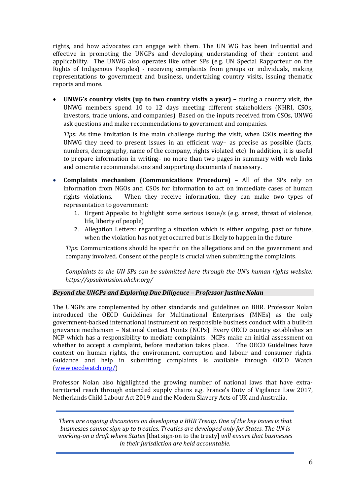rights, and how advocates can engage with them. The UN WG has been influential and effective in promoting the UNGPs and developing understanding of their content and applicability. The UNWG also operates like other SPs (e.g. UN Special Rapporteur on the Rights of Indigenous Peoples) - receiving complaints from groups or individuals, making representations to government and business, undertaking country visits, issuing thematic reports and more.

• **UNWG's country visits (up to two country visits a year) –** during a country visit, the UNWG members spend 10 to 12 days meeting different stakeholders (NHRI, CSOs, investors, trade unions, and companies). Based on the inputs received from CSOs, UNWG ask questions and make recommendations to government and companies.

*Tips:* As time limitation is the main challenge during the visit, when CSOs meeting the UNWG they need to present issues in an efficient way– as precise as possible (facts, numbers, demography, name of the company, rights violated etc). In addition, it is useful to prepare information in writing– no more than two pages in summary with web links and concrete recommendations and supporting documents if necessary.

- **Complaints mechanism (Communications Procedure) –** All of the SPs rely on information from NGOs and CSOs for information to act on immediate cases of human rights violations. When they receive information, they can make two types of representation to government:
	- 1. Urgent Appeals: to highlight some serious issue/s (e.g. arrest, threat of violence, life, liberty of people)
	- 2. Allegation Letters: regarding a situation which is either ongoing, past or future, when the violation has not yet occurred but is likely to happen in the future

*Tips:* Communications should be specific on the allegations and on the government and company involved. Consent of the people is crucial when submitting the complaints.

*Complaints to the UN SPs can be submitted here through the UN's human rights website: https://spsubmission.ohchr.org/*

#### *Beyond the UNGPs and Exploring Due Diligence – Professor Justine Nolan*

The UNGPs are complemented by other standards and guidelines on BHR. Professor Nolan introduced the OECD Guidelines for Multinational Enterprises (MNEs) as the only government-backed international instrument on responsible business conduct with a built-in grievance mechanism – National Contact Points (NCPs). Every OECD country establishes an NCP which has a responsibility to mediate complaints. NCPs make an initial assessment on whether to accept a complaint, before mediation takes place. The OECD Guidelines have content on human rights, the environment, corruption and labour and consumer rights. Guidance and help in submitting complaints is available through OECD Watch [\(www.oecdwatch.org/\)](http://www.oecdwatch.org/)

Professor Nolan also highlighted the growing number of national laws that have extraterritorial reach through extended supply chains e.g. France's Duty of Vigilance Law 2017, Netherlands Child Labour Act 2019 and the Modern Slavery Acts of UK and Australia.

*There are ongoing discussions on developing a BHR Treaty. One of the key issues is that businesses cannot sign up to treaties. Treaties are developed only for States. The UN is working-on a draft where States* [that sign-on to the treaty] *will ensure that businesses in their jurisdiction are held accountable.*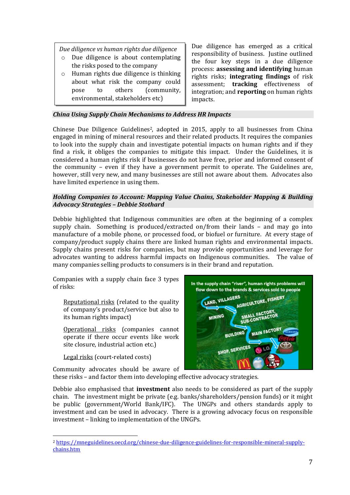*Due diligence vs human rights due diligence*

- o Due diligence is about contemplating the risks posed to the company
- o Human rights due diligence is thinking about what risk the company could pose to others (community, environmental, stakeholders etc)

Due diligence has emerged as a critical responsibility of business. Justine outlined the four key steps in a due diligence process: **assessing and identifying** human rights risks; **integrating findings** of risk assessment; **tracking** effectiveness of integration; and **reporting** on human rights impacts.

#### *China Using Supply Chain Mechanisms to Address HR Impacts*

Chinese Due Diligence Guidelines <sup>2</sup>, adopted in 2015, apply to all businesses from China engaged in mining of mineral resources and their related products. It requires the companies to look into the supply chain and investigate potential impacts on human rights and if they find a risk, it obliges the companies to mitigate this impact. Under the Guidelines, it is considered a human rights risk if businesses do not have free, prior and informed consent of the community – even if they have a government permit to operate. The Guidelines are, however, still very new, and many businesses are still not aware about them. Advocates also have limited experience in using them.

#### *Holding Companies to Account: Mapping Value Chains, Stakeholder Mapping & Building Advocacy Strategies – Debbie Stothard*

Debbie highlighted that Indigenous communities are often at the beginning of a complex supply chain. Something is produced/extracted on/from their lands – and may go into manufacture of a mobile phone, or processed food, or biofuel or furniture. At every stage of company/product supply chains there are linked human rights and environmental impacts. Supply chains present risks for companies, but may provide opportunities and leverage for advocates wanting to address harmful impacts on Indigenous communities. The value of many companies selling products to consumers is in their brand and reputation.

Companies with a supply chain face 3 types of risks:

Reputational risks (related to the quality of company's product/service but also to its human rights impact)

Operational risks (companies cannot operate if there occur events like work site closure, industrial action etc.)

Legal risks (court-related costs)

Community advocates should be aware of



these risks – and factor them into developing effective advocacy strategies.

Debbie also emphasised that **investment** also needs to be considered as part of the supply chain. The investment might be private (e.g. banks/shareholders/pension funds) or it might be public (government/World Bank/IFC). The UNGPs and others standards apply to investment and can be used in advocacy. There is a growing advocacy focus on responsible investment – linking to implementation of the UNGPs.

<sup>2</sup> [https://mneguidelines.oecd.org/chinese-due-diligence-guidelines-for-responsible-mineral-supply](https://mneguidelines.oecd.org/chinese-due-diligence-guidelines-for-responsible-mineral-supply-chains.htm)[chains.htm](https://mneguidelines.oecd.org/chinese-due-diligence-guidelines-for-responsible-mineral-supply-chains.htm)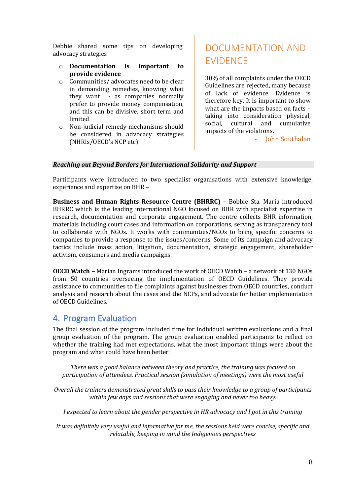Debbie shared some tips on developing advocacy strategies

- o **Documentation is important to provide evidence**
- o Communities/ advocates need to be clear in demanding remedies, knowing what they want - as companies normally prefer to provide money compensation, and this can be divisive, short term and limited
- o Non-judicial remedy mechanisms should be considered in advocacy strategies (NHRIs/OECD's NCP etc)

## DOCUMENTATION AND EVIDENCE

30% of all complaints under the OECD Guidelines are rejected, many because of lack of evidence. Evidence is therefore key. It is important to show what are the impacts based on facts – taking into consideration physical, social, cultural and cumulative impacts of the violations.

Iohn Southalan

#### *Reaching out Beyond Borders for International Solidarity and Support*

Participants were introduced to two specialist organisations with extensive knowledge, experience and expertise on BHR –

**Business and Human Rights Resource Centre (BHRRC) –** Bobbie Sta. Maria introduced BHRRC which is the leading international NGO focused on BHR with specialist expertise in research, documentation and corporate engagement. The centre collects BHR information, materials including court cases and information on corporations, serving as transparency tool to collaborate with NGOs. It works with communities/NGOs to bring specific concerns to companies to provide a response to the issues/concerns. Some of its campaign and advocacy tactics include mass action, litigation, documentation, strategic engagement, shareholder activism, consumers and media campaigns.

**OECD Watch** *–* Marian Ingrams introduced the work of OECD Watch – a network of 130 NGOs from 50 countries overseeing the implementation of OECD Guidelines. They provide assistance to communities to file complaints against businesses from OECD countries, conduct analysis and research about the cases and the NCPs, and advocate for better implementation of OECD Guidelines.

#### 4. Program Evaluation

The final session of the program included time for individual written evaluations and a final group evaluation of the program. The group evaluation enabled participants to reflect on whether the training had met expectations, what the most important things were about the program and what could have been better.

*There was a good balance between theory and practice, the training was focused on participation of attendees. Practical session (simulation of meetings) were the most useful*

*Overall the trainers demonstrated great skills to pass their knowledge to a group of participants within few days and sessions that were engaging and never too heavy.*

*I expected to learn about the gender perspective in HR advocacy and I got in this training*

*It was definitely very useful and informative for me, the sessions held were concise, specific and relatable, keeping in mind the Indigenous perspectives*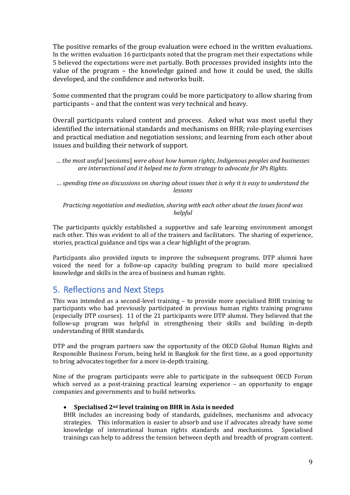The positive remarks of the group evaluation were echoed in the written evaluations. In the written evaluation 16 participants noted that the program met their expectations while 5 believed the expectations were met partially. Both processes provided insights into the value of the program – the knowledge gained and how it could be used, the skills developed, and the confidence and networks built.

Some commented that the program could be more participatory to allow sharing from participants – and that the content was very technical and heavy.

Overall participants valued content and process. Asked what was most useful they identified the international standards and mechanisms on BHR; role-playing exercises and practical mediation and negotiation sessions; and learning from each other about issues and building their network of support.

*… the most useful* [sessions] *were about how human rights, Indigenous peoples and businesses are intersectional and it helped me to form strategy to advocate for IPs Rights.*

*… spending time on discussions on sharing about issues that is why it is easy to understand the lessons*

*Practicing negotiation and mediation, sharing with each other about the issues faced was helpful*

The participants quickly established a supportive and safe learning environment amongst each other. This was evident to all of the trainers and facilitators. The sharing of experience, stories, practical guidance and tips was a clear highlight of the program.

Participants also provided inputs to improve the subsequent programs. DTP alumni have voiced the need for a follow-up capacity building program to build more specialised knowledge and skills in the area of business and human rights.

#### 5. Reflections and Next Steps

This was intended as a second-level training – to provide more specialised BHR training to participants who had previously participated in previous human rights training programs (especially DTP courses). 11 of the 21 participants were DTP alumni. They believed that the follow-up program was helpful in strengthening their skills and building in-depth understanding of BHR standards.

DTP and the program partners saw the opportunity of the OECD Global Human Rights and Responsible Business Forum, being held in Bangkok for the first time, as a good opportunity to bring advocates together for a more in-depth training.

Nine of the program participants were able to participate in the subsequent OECD Forum which served as a post-training practical learning experience – an opportunity to engage companies and governments and to build networks.

#### • **Specialised 2nd level training on BHR in Asia is needed**

BHR includes an increasing body of standards, guidelines, mechanisms and advocacy strategies. This information is easier to absorb and use if advocates already have some knowledge of international human rights standards and mechanisms. Specialised trainings can help to address the tension between depth and breadth of program content.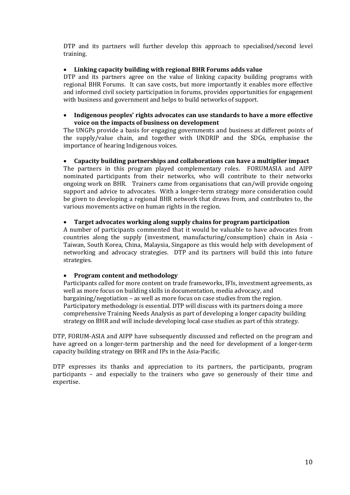DTP and its partners will further develop this approach to specialised/second level training.

#### • **Linking capacity building with regional BHR Forums adds value**

DTP and its partners agree on the value of linking capacity building programs with regional BHR Forums. It can save costs, but more importantly it enables more effective and informed civil society participation in forums, provides opportunities for engagement with business and government and helps to build networks of support.

#### • **Indigenous peoples' rights advocates can use standards to have a more effective voice on the impacts of business on development**

The UNGPs provide a basis for engaging governments and business at different points of the supply/value chain, and together with UNDRIP and the SDGs, emphasise the importance of hearing Indigenous voices.

#### • **Capacity building partnerships and collaborations can have a multiplier impact**

The partners in this program played complementary roles. FORUMASIA and AIPP nominated participants from their networks, who will contribute to their networks ongoing work on BHR. Trainers came from organisations that can/will provide ongoing support and advice to advocates. With a longer-term strategy more consideration could be given to developing a regional BHR network that draws from, and contributes to, the various movements active on human rights in the region.

#### • **Target advocates working along supply chains for program participation**

A number of participants commented that it would be valuable to have advocates from countries along the supply (investment, manufacturing/consumption) chain in Asia - Taiwan, South Korea, China, Malaysia, Singapore as this would help with development of networking and advocacy strategies. DTP and its partners will build this into future strategies.

#### • **Program content and methodology**

Participants called for more content on trade frameworks, IFIs, investment agreements, as well as more focus on building skills in documentation, media advocacy, and bargaining/negotiation – as well as more focus on case studies from the region. Participatory methodology is essential. DTP will discuss with its partners doing a more comprehensive Training Needs Analysis as part of developing a longer capacity building strategy on BHR and will include developing local case studies as part of this strategy.

DTP, FORUM-ASIA and AIPP have subsequently discussed and reflected on the program and have agreed on a longer-term partnership and the need for development of a longer-term capacity building strategy on BHR and IPs in the Asia-Pacific.

DTP expresses its thanks and appreciation to its partners, the participants, program participants – and especially to the trainers who gave so generously of their time and expertise.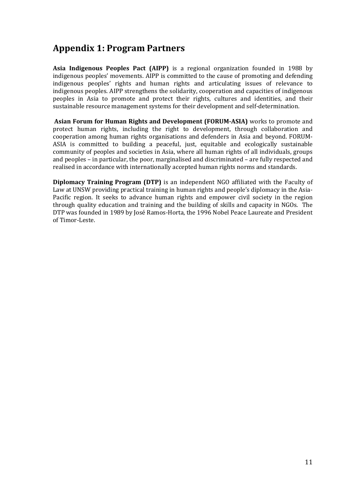## **Appendix 1: Program Partners**

**Asia Indigenous Peoples Pact (AIPP)** is a regional organization founded in 1988 by indigenous peoples' movements. AIPP is committed to the cause of promoting and defending indigenous peoples' rights and human rights and articulating issues of relevance to indigenous peoples. AIPP strengthens the solidarity, cooperation and capacities of indigenous peoples in Asia to promote and protect their rights, cultures and identities, and their sustainable resource management systems for their development and self-determination.

**Asian Forum for Human Rights and Development (FORUM-ASIA)** works to promote and protect human rights, including the right to development, through collaboration and cooperation among human rights organisations and defenders in Asia and beyond. FORUM-ASIA is committed to building a peaceful, just, equitable and ecologically sustainable community of peoples and societies in Asia, where all human rights of all individuals, groups and peoples – in particular, the poor, marginalised and discriminated – are fully respected and realised in accordance with internationally accepted human rights norms and standards.

**Diplomacy Training Program (DTP)** is an independent NGO affiliated with the Faculty of Law at UNSW providing practical training in human rights and people's diplomacy in the Asia-Pacific region. It seeks to advance human rights and empower civil society in the region through quality education and training and the building of skills and capacity in NGOs. The DTP was founded in 1989 by José Ramos-Horta, the 1996 Nobel Peace Laureate and President of Timor-Leste.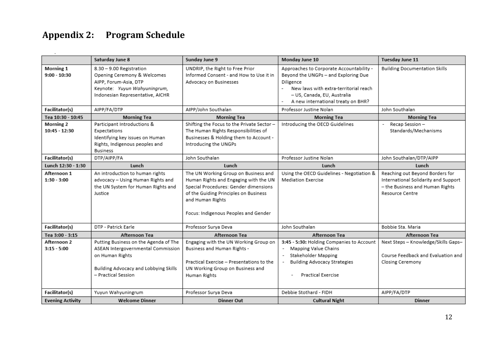## **Appendix 2: Program Schedule**

|                         | Saturday June 8                                              | Sunday June 9                              | Monday June 10                                                    | Tuesday June 11                             |
|-------------------------|--------------------------------------------------------------|--------------------------------------------|-------------------------------------------------------------------|---------------------------------------------|
| Morning 1               | 8.30 - 9.00 Registration                                     | UNDRIP, the Right to Free Prior            | Approaches to Corporate Accountability -                          | <b>Building Documentation Skills</b>        |
| $9:00 - 10:30$          | Opening Ceremony & Welcomes                                  | Informed Consent - and How to Use it in    | Beyond the UNGPs - and Exploring Due                              |                                             |
|                         | AIPP, Forum-Asia, DTP                                        | Advocacy on Businesses                     | Diligence                                                         |                                             |
|                         | Keynote: Yuyun Wahyuningrum,                                 |                                            | New laws with extra-territorial reach<br>$\overline{\phantom{a}}$ |                                             |
|                         | Indonesian Representative, AICHR                             |                                            | - US, Canada, EU, Australia                                       |                                             |
|                         |                                                              |                                            | A new international treaty on BHR?                                |                                             |
| Facilitator(s)          | AIPP/FA/DTP                                                  | AIPP/John Southalan                        | Professor Justine Nolan                                           | John Southalan                              |
| Tea 10:30 - 10:45       | <b>Morning Tea</b>                                           | <b>Morning Tea</b>                         | <b>Morning Tea</b>                                                | <b>Morning Tea</b>                          |
| <b>Morning 2</b>        | Participant Introductions &                                  | Shifting the Focus to the Private Sector - | Introducing the OECD Guidelines                                   | Recap Session -<br>$\overline{\phantom{0}}$ |
| $10:45 - 12:30$         | Expectations                                                 | The Human Rights Responsibilities of       |                                                                   | Standards/Mechanisms                        |
|                         | Identifying key issues on Human                              | Businesses & Holding them to Account -     |                                                                   |                                             |
|                         | Rights, Indigenous peoples and                               | Introducing the UNGPs                      |                                                                   |                                             |
|                         | <b>Business</b>                                              |                                            |                                                                   |                                             |
| Facilitator(s)          | DTP/AIPP/FA                                                  | John Southalan                             | Professor Justine Nolan                                           | John Southalan/DTP/AIPP                     |
| Lunch 12:30 - 1:30      | Lunch                                                        | Lunch                                      | Lunch                                                             | Lunch                                       |
| Afternoon 1             | An introduction to human rights                              | The UN Working Group on Business and       | Using the OECD Guidelines - Negotiation &                         | Reaching out Beyond Borders for             |
| $1:30 - 3:00$           | advocacy - Using Human Rights and                            | Human Rights and Engaging with the UN      | Mediation Exercise                                                | International Solidarity and Support        |
|                         | the UN System for Human Rights and                           | Special Procedures: Gender dimensions      |                                                                   | - the Business and Human Rights             |
|                         | Justice                                                      | of the Guiding Principles on Business      |                                                                   | Resource Centre                             |
|                         |                                                              | and Human Rights                           |                                                                   |                                             |
|                         |                                                              |                                            |                                                                   |                                             |
|                         |                                                              | Focus: Indigenous Peoples and Gender       |                                                                   |                                             |
| Facilitator(s)          | DTP - Patrick Earle                                          | Professor Surya Deva                       | John Southalan                                                    | Bobbie Sta. Maria                           |
|                         |                                                              |                                            |                                                                   |                                             |
| Tea 3:00 - 3:15         | Afternoon Tea                                                | Afternoon Tea                              | Afternoon Tea                                                     | Afternoon Tea                               |
| Afternoon 2             | Putting Business on the Agenda of The                        | Engaging with the UN Working Group on      | 3:45 - 5:30: Holding Companies to Account                         | Next Steps - Knowledge/Skills Gaps-         |
| $3:15 - 5:00$           | ASEAN Intergovernmental Commission                           | Business and Human Rights -                | Mapping Value Chains<br>$\overline{\phantom{a}}$                  |                                             |
|                         | on Human Rights                                              |                                            | Stakeholder Mapping<br>$\overline{\phantom{a}}$                   | Course Feedback and Evaluation and          |
|                         |                                                              | Practical Exercise - Presentations to the  | <b>Building Advocacy Strategies</b>                               | Closing Ceremony                            |
|                         | Building Advocacy and Lobbying Skills<br>- Practical Session | UN Working Group on Business and           | Practical Exercise                                                |                                             |
|                         |                                                              | Human Rights                               |                                                                   |                                             |
|                         |                                                              |                                            |                                                                   |                                             |
| Facilitator(s)          | Yuyun Wahyuningrum                                           | Professor Surva Deva                       | Debbie Stothard - FIDH                                            | AIPP/FA/DTP                                 |
| <b>Evening Activity</b> | <b>Welcome Dinner</b>                                        | <b>Dinner Out</b>                          | <b>Cultural Night</b>                                             | <b>Dinner</b>                               |